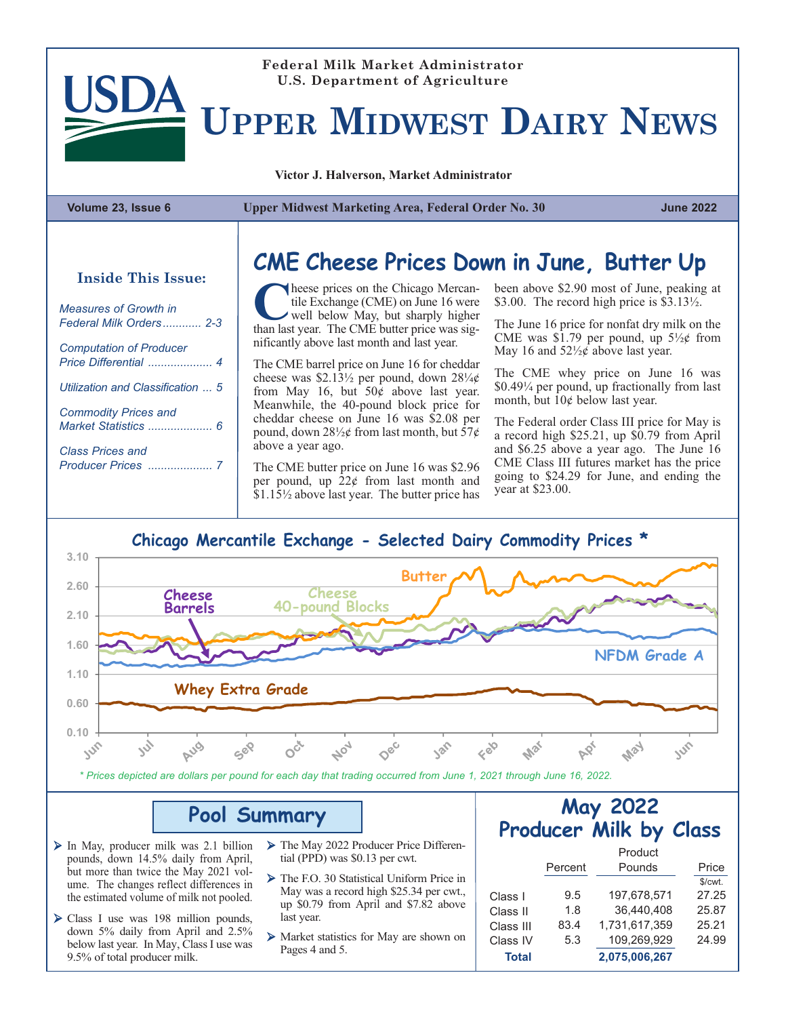### **Federal Milk Market Administrator U.S. Department of Agriculture**

**UPPER MIDWEST DAIRY NEWS**

**Victor J. Halverson, Market Administrator**

| Volume 23, Issue 6 |  |  |  |
|--------------------|--|--|--|
|--------------------|--|--|--|

**Volume 23, Issue 6 Upper Midwest Marketing Area, Federal Order No. 30 June 2022**

| <b>Measures of Growth in</b>      |
|-----------------------------------|
| <b>Computation of Producer</b>    |
| Utilization and Classification  5 |
| <b>Commodity Prices and</b>       |
| Class Prices and                  |

## **CME Cheese Prices Down in June, Butter Up Inside This Issue:**

heese prices on the Chicago Mercantile Exchange (CME) on June 16 were well below May, but sharply higher than last year. The CME butter price was significantly above last month and last year.

The CME barrel price on June 16 for cheddar cheese was \$2.13 $\frac{1}{2}$  per pound, down 28 $\frac{1}{4}$ from May 16, but  $50\hat{e}$  above last year. Meanwhile, the 40-pound block price for cheddar cheese on June 16 was \$2.08 per pound, down  $28\frac{1}{2}$  from last month, but  $57¢$ above a year ago.

The CME butter price on June 16 was \$2.96 per pound, up 22¢ from last month and \$1.15½ above last year. The butter price has been above \$2.90 most of June, peaking at \$3.00. The record high price is \$3.13<sup>1</sup>/<sub>2</sub>.

The June 16 price for nonfat dry milk on the CME was \$1.79 per pound, up  $5\frac{1}{2}$  from May 16 and  $52\frac{1}{2}\phi$  above last year.

The CME whey price on June 16 was \$0.49¼ per pound, up fractionally from last month, but 10¢ below last year.

The Federal order Class III price for May is a record high \$25.21, up \$0.79 from April and \$6.25 above a year ago. The June 16 CME Class III futures market has the price going to \$24.29 for June, and ending the year at \$23.00.

#### **Chicago Mercantile Exchange - Selected Dairy Commodity Prices \***



*\* Prices depicted are dollars per pound for each day that trading occurred from June 1, 2021 through June 16, 2022.*

#### **Pool Summary**

- $\triangleright$  In May, producer milk was 2.1 billion pounds, down 14.5% daily from April, but more than twice the May 2021 volume. The changes reflect differences in the estimated volume of milk not pooled.
- $\triangleright$  Class I use was 198 million pounds, down 5% daily from April and 2.5% below last year. In May, Class I use was 9.5% of total producer milk.
- Ø The May 2022 Producer Price Differential (PPD) was \$0.13 per cwt.
- Ø The F.O. 30 Statistical Uniform Price in May was a record high \$25.34 per cwt., up \$0.79 from April and \$7.82 above last year.
- Ø Market statistics for May are shown on Pages 4 and 5.

#### **May 2022 Producer Milk by Class**

|              |         | Product       |         |
|--------------|---------|---------------|---------|
|              | Percent | Pounds        | Price   |
|              |         |               | \$/cwt. |
| Class I      | 9.5     | 197.678.571   | 27.25   |
| Class II     | 1.8     | 36.440.408    | 25.87   |
| Class III    | 83.4    | 1.731.617.359 | 25.21   |
| Class IV     | 5.3     | 109,269,929   | 24.99   |
| <b>Total</b> |         | 2,075,006,267 |         |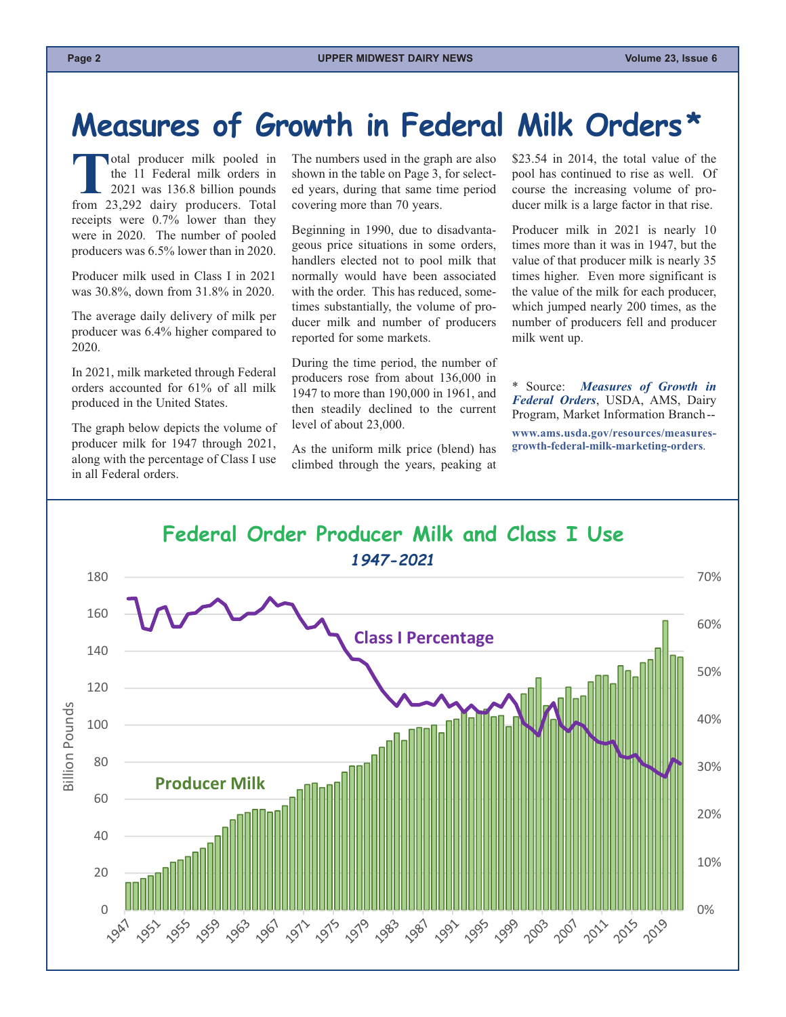# <span id="page-1-0"></span>**Measures of Growth in Federal Milk Orders\***

Total producer milk pooled in<br>the 11 Federal milk orders in<br>2021 was 136.8 billion pounds<br>from 23,292 dairy producers. Total the 11 Federal milk orders in 2021 was 136.8 billion pounds receipts were 0.7% lower than they were in 2020. The number of pooled producers was 6.5% lower than in 2020.

Producer milk used in Class I in 2021 was 30.8%, down from 31.8% in 2020.

The average daily delivery of milk per producer was 6.4% higher compared to 2020.

In 2021, milk marketed through Federal orders accounted for 61% of all milk produced in the United States.

The graph below depicts the volume of producer milk for 1947 through 2021, along with the percentage of Class I use in all Federal orders.

The numbers used in the graph are also shown in the table on Page 3, for selected years, during that same time period covering more than 70 years.

Beginning in 1990, due to disadvantageous price situations in some orders, handlers elected not to pool milk that normally would have been associated with the order. This has reduced, sometimes substantially, the volume of producer milk and number of producers reported for some markets.

During the time period, the number of producers rose from about 136,000 in 1947 to more than 190,000 in 1961, and then steadily declined to the current level of about 23,000.

As the uniform milk price (blend) has climbed through the years, peaking at

\$23.54 in 2014, the total value of the pool has continued to rise as well. Of course the increasing volume of producer milk is a large factor in that rise.

Producer milk in 2021 is nearly 10 times more than it was in 1947, but the value of that producer milk is nearly 35 times higher. Even more significant is the value of the milk for each producer, which jumped nearly 200 times, as the number of producers fell and producer milk went up.

\* Source: *Measures of Growth in Federal Orders*, USDA, AMS, Dairy Program, Market Information Branch--

**www.ams.usda.gov/resources/measuresgrowth-federal-milk-marketing-orders**.

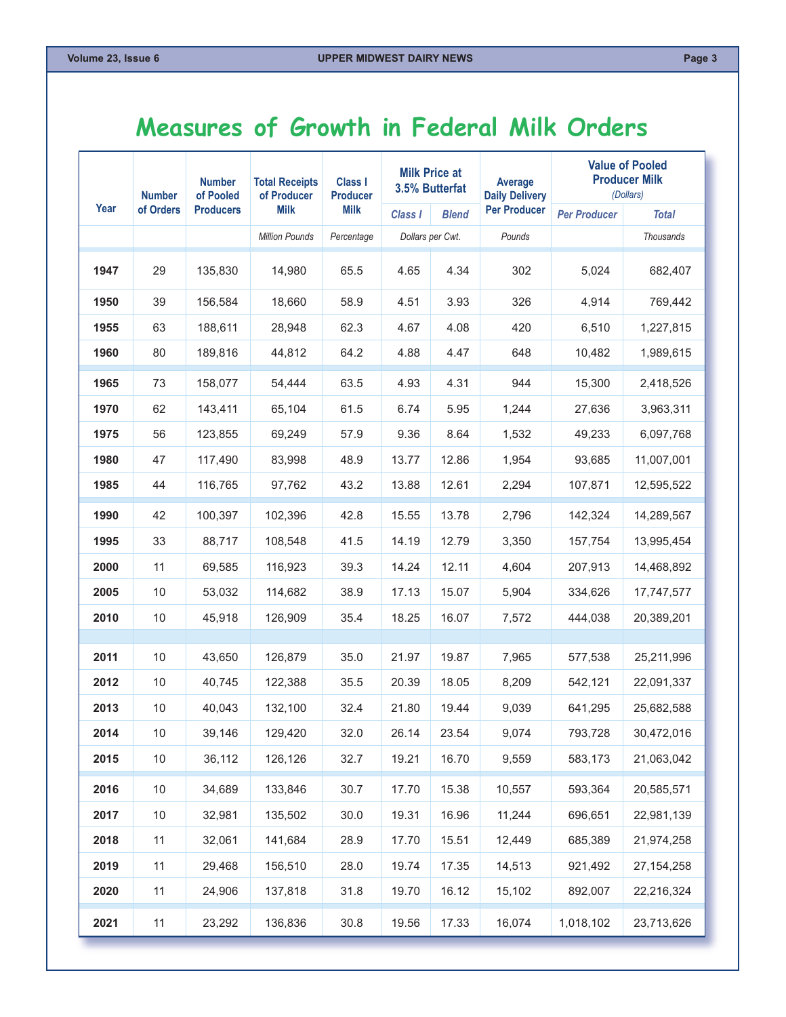## <span id="page-2-0"></span>**Measures of Growth in Federal Milk Orders**

|              | <b>Number</b> | <b>Number</b><br><b>Total Receipts</b><br>of Pooled |                       | <b>Class I</b><br><b>Producer</b> |                  | <b>Milk Price at</b><br>3.5% Butterfat | Average<br><b>Daily Delivery</b> | <b>Value of Pooled</b><br><b>Producer Milk</b><br>(Dollars) |                          |  |
|--------------|---------------|-----------------------------------------------------|-----------------------|-----------------------------------|------------------|----------------------------------------|----------------------------------|-------------------------------------------------------------|--------------------------|--|
| Year         | of Orders     | <b>Producers</b>                                    | <b>Milk</b>           | <b>Milk</b>                       | Class I          | <b>Blend</b>                           | <b>Per Producer</b>              | <b>Per Producer</b>                                         | <b>Total</b>             |  |
|              |               |                                                     | <b>Million Pounds</b> | Percentage                        | Dollars per Cwt. |                                        | Pounds                           |                                                             | <b>Thousands</b>         |  |
| 1947         | 29            | 135,830                                             | 14,980                | 65.5                              | 4.65             | 4.34                                   | 302                              | 5,024                                                       | 682,407                  |  |
| 1950         | 39            | 156,584                                             | 18,660                | 58.9                              | 4.51             | 3.93                                   | 326                              | 4,914                                                       | 769,442                  |  |
| 1955         | 63            | 188,611                                             | 28,948                | 62.3                              | 4.67             | 4.08                                   | 420                              | 6,510                                                       | 1,227,815                |  |
| 1960         | 80            | 189,816                                             | 44,812                | 64.2                              | 4.88             | 4.47                                   | 648                              | 10,482                                                      | 1,989,615                |  |
| 1965         | 73            | 158,077                                             | 54,444                | 63.5                              | 4.93             | 4.31                                   | 944                              | 15,300                                                      | 2,418,526                |  |
| 1970         | 62            | 143,411                                             | 65.104                | 61.5                              | 6.74             | 5.95                                   | 1,244                            | 27,636                                                      | 3,963,311                |  |
| 1975         | 56            | 123,855                                             | 69,249                | 57.9                              | 9.36             | 8.64                                   | 1,532                            | 49,233                                                      | 6,097,768                |  |
| 1980         | 47            | 117,490                                             | 83,998                | 48.9                              | 13.77            | 12.86                                  | 1,954                            | 93,685                                                      | 11,007,001               |  |
| 1985         | 44            | 116,765                                             | 97,762                | 43.2                              | 13.88            | 12.61                                  | 2,294                            | 107,871                                                     | 12,595,522               |  |
| 1990         | 42            | 100,397                                             | 102,396               | 42.8                              | 15.55            | 13.78                                  | 2,796                            | 142,324                                                     | 14,289,567               |  |
| 1995         | 33            | 88,717                                              | 108,548               | 41.5                              | 14.19            | 12.79                                  | 3,350                            | 157,754                                                     | 13,995,454               |  |
| 2000         | 11            | 69,585                                              | 116,923               | 39.3                              | 14.24            | 12.11                                  | 4,604                            | 207,913                                                     | 14,468,892               |  |
| 2005         | $10$          | 53,032                                              | 114,682               | 38.9                              | 17.13            | 15.07                                  | 5,904                            | 334,626                                                     | 17,747,577               |  |
| 2010         | 10            | 45,918                                              | 126,909               | 35.4                              | 18.25            | 16.07                                  | 7,572                            | 444,038                                                     | 20,389,201               |  |
|              |               |                                                     |                       |                                   |                  |                                        |                                  |                                                             |                          |  |
| 2011<br>2012 | 10<br>10      | 43,650<br>40,745                                    | 126,879<br>122,388    | 35.0<br>35.5                      | 21.97<br>20.39   | 19.87                                  | 7,965                            | 577,538                                                     | 25,211,996               |  |
| 2013         | 10            | 40,043                                              | 132,100               | 32.4                              | 21.80            | 18.05<br>19.44                         | 8,209<br>9,039                   | 542,121<br>641,295                                          | 22,091,337<br>25,682,588 |  |
| 2014         | 10            | 39,146                                              | 129,420               | 32.0                              | 26.14            | 23.54                                  | 9,074                            | 793,728                                                     | 30,472,016               |  |
| 2015         | $10\,$        | 36,112                                              | 126,126               | 32.7                              | 19.21            | 16.70                                  | 9,559                            | 583,173                                                     | 21,063,042               |  |
|              |               |                                                     |                       |                                   |                  |                                        |                                  |                                                             |                          |  |
| 2016         | $10\,$        | 34,689                                              | 133,846               | 30.7                              | 17.70            | 15.38                                  | 10,557                           | 593,364                                                     | 20,585,571               |  |
| 2017         | $10$          | 32,981                                              | 135,502               | 30.0                              | 19.31            | 16.96                                  | 11,244                           | 696,651                                                     | 22,981,139               |  |
| 2018         | 11            | 32,061                                              | 141,684               | 28.9                              | 17.70            | 15.51                                  | 12,449                           | 685,389                                                     | 21,974,258               |  |
| 2019         | 11            | 29,468                                              | 156,510               | 28.0                              | 19.74            | 17.35                                  | 14,513                           | 921,492                                                     | 27, 154, 258             |  |
| 2020         | 11            | 24,906                                              | 137,818               | 31.8                              | 19.70            | 16.12                                  | 15,102                           | 892,007                                                     | 22,216,324               |  |
| 2021         | 11            | 23,292                                              | 136,836               | 30.8                              | 19.56            | 17.33                                  | 16,074                           | 1,018,102                                                   | 23,713,626               |  |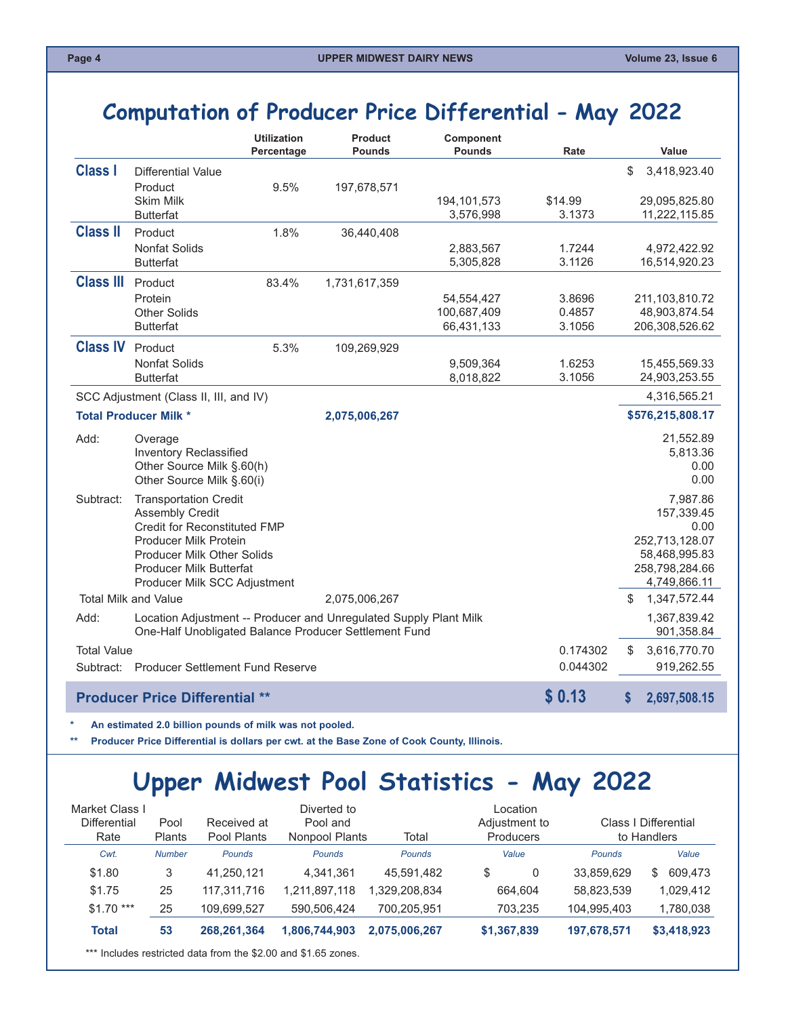#### <span id="page-3-0"></span>**Computation of Producer Price Differential - May 2022**

|                    |                                                                                                                            | <b>Utilization</b><br>Percentage | <b>Product</b><br><b>Pounds</b> | Component<br><b>Pounds</b> | Rate              | Value                           |
|--------------------|----------------------------------------------------------------------------------------------------------------------------|----------------------------------|---------------------------------|----------------------------|-------------------|---------------------------------|
| <b>Class I</b>     | <b>Differential Value</b>                                                                                                  |                                  |                                 |                            |                   | \$<br>3,418,923.40              |
|                    | Product                                                                                                                    | 9.5%                             | 197,678,571                     |                            |                   |                                 |
|                    | <b>Skim Milk</b><br><b>Butterfat</b>                                                                                       |                                  |                                 | 194,101,573<br>3,576,998   | \$14.99<br>3.1373 | 29,095,825.80<br>11,222,115.85  |
| <b>Class II</b>    | Product                                                                                                                    | 1.8%                             | 36,440,408                      |                            |                   |                                 |
|                    | <b>Nonfat Solids</b>                                                                                                       |                                  |                                 | 2,883,567                  | 1.7244            | 4,972,422.92                    |
|                    | <b>Butterfat</b>                                                                                                           |                                  |                                 | 5,305,828                  | 3.1126            | 16,514,920.23                   |
| <b>Class III</b>   | Product                                                                                                                    | 83.4%                            | 1,731,617,359                   |                            |                   |                                 |
|                    | Protein<br><b>Other Solids</b>                                                                                             |                                  |                                 | 54,554,427<br>100,687,409  | 3.8696<br>0.4857  | 211,103,810.72<br>48,903,874.54 |
|                    | <b>Butterfat</b>                                                                                                           |                                  |                                 | 66,431,133                 | 3.1056            | 206,308,526.62                  |
| <b>Class IV</b>    | Product                                                                                                                    | 5.3%                             | 109,269,929                     |                            |                   |                                 |
|                    | <b>Nonfat Solids</b>                                                                                                       |                                  |                                 | 9,509,364                  | 1.6253            | 15,455,569.33                   |
|                    | <b>Butterfat</b>                                                                                                           |                                  |                                 | 8,018,822                  | 3.1056            | 24,903,253.55                   |
|                    | SCC Adjustment (Class II, III, and IV)                                                                                     |                                  |                                 |                            |                   | 4,316,565.21                    |
|                    | <b>Total Producer Milk *</b>                                                                                               |                                  | 2,075,006,267                   |                            |                   | \$576,215,808.17                |
| Add:               | Overage<br><b>Inventory Reclassified</b>                                                                                   |                                  |                                 |                            |                   | 21,552.89<br>5,813.36           |
|                    | Other Source Milk §.60(h)<br>Other Source Milk §.60(i)                                                                     |                                  |                                 |                            |                   | 0.00<br>0.00                    |
| Subtract:          | <b>Transportation Credit</b>                                                                                               |                                  |                                 |                            |                   | 7,987.86                        |
|                    | <b>Assembly Credit</b>                                                                                                     |                                  |                                 |                            |                   | 157,339.45                      |
|                    | Credit for Reconstituted FMP<br><b>Producer Milk Protein</b>                                                               |                                  |                                 |                            |                   | 0.00<br>252,713,128.07          |
|                    | <b>Producer Milk Other Solids</b>                                                                                          |                                  |                                 |                            |                   | 58,468,995.83                   |
|                    | Producer Milk Butterfat                                                                                                    |                                  |                                 |                            |                   | 258,798,284.66                  |
|                    | Producer Milk SCC Adjustment                                                                                               |                                  |                                 |                            |                   | 4,749,866.11                    |
|                    | <b>Total Milk and Value</b>                                                                                                |                                  | 2,075,006,267                   |                            |                   | 1,347,572.44<br>S               |
| Add:               | Location Adjustment -- Producer and Unregulated Supply Plant Milk<br>One-Half Unobligated Balance Producer Settlement Fund |                                  |                                 |                            |                   | 1,367,839.42<br>901,358.84      |
| <b>Total Value</b> |                                                                                                                            |                                  |                                 |                            | 0.174302          | 3,616,770.70<br>S               |
|                    | Subtract: Producer Settlement Fund Reserve                                                                                 |                                  |                                 |                            | 0.044302          | 919,262.55                      |
|                    | <b>Producer Price Differential **</b>                                                                                      |                                  |                                 |                            | \$0.13            | S.<br>2,697,508.15              |

**\* An estimated 2.0 billion pounds of milk was not pooled.** 

**\*\* Producer Price Differential is dollars per cwt. at the Base Zone of Cook County, Illinois.**

## **Upper Midwest Pool Statistics - May 2022**

| Market Class I<br><b>Differential</b><br>Rate | Pool<br><b>Plants</b> | Received at<br>Pool Plants | Diverted to<br>Pool and<br>Nonpool Plants                      | Total         | Location<br>Adjustment to<br><b>Producers</b> |             | Class   Differential<br>to Handlers |
|-----------------------------------------------|-----------------------|----------------------------|----------------------------------------------------------------|---------------|-----------------------------------------------|-------------|-------------------------------------|
| Cwt.                                          | <b>Number</b>         | <b>Pounds</b>              | <b>Pounds</b>                                                  | <b>Pounds</b> | Value                                         | Pounds      | Value                               |
| \$1.80                                        | 3                     | 41.250.121                 | 4.341.361                                                      | 45.591.482    | \$<br>0                                       | 33,859,629  | 609,473<br>S                        |
| \$1.75                                        | 25                    | 117.311.716                | 1,211,897,118                                                  | 1.329.208.834 | 664.604                                       | 58,823,539  | 1,029,412                           |
| $$1.70$ ***                                   | 25                    | 109,699,527                | 590.506.424                                                    | 700.205.951   | 703.235                                       | 104,995,403 | 1,780,038                           |
| <b>Total</b>                                  | 53                    | 268.261.364                | 1.806.744.903                                                  | 2.075.006.267 | \$1,367,839                                   | 197,678,571 | \$3,418,923                         |
|                                               |                       |                            | *** Includes restricted data from the \$2.00 and \$1.65 zones. |               |                                               |             |                                     |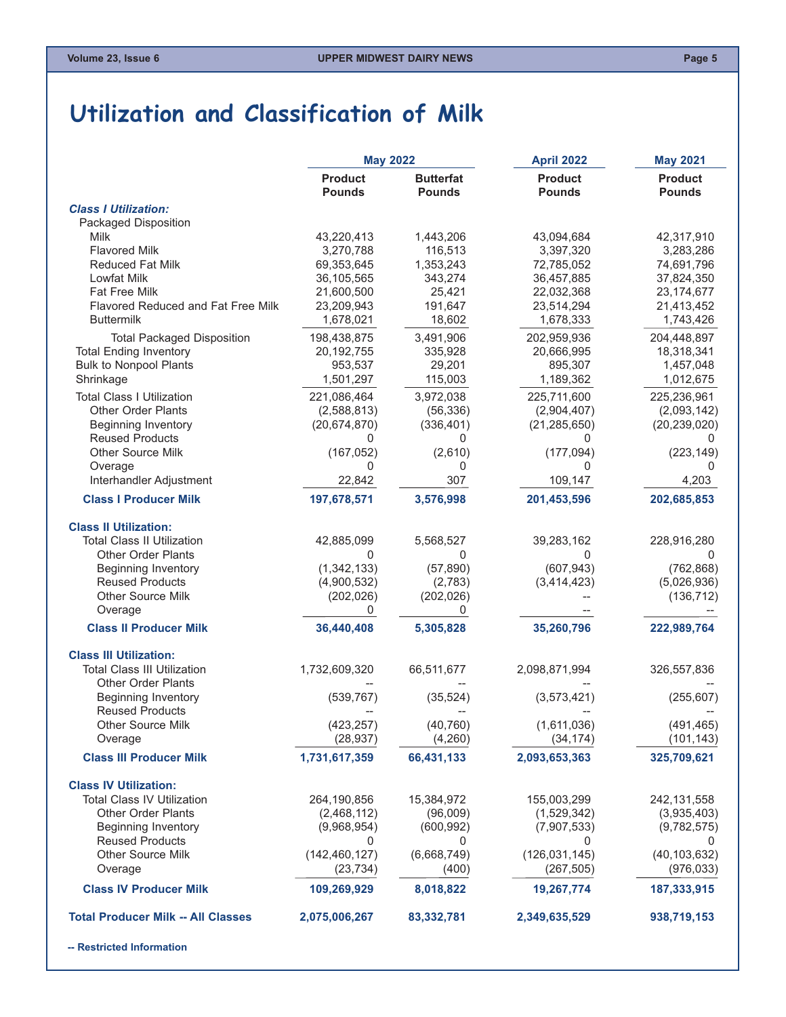#### <span id="page-4-0"></span>**Utilization and Classification of Milk**

|                                           | <b>May 2022</b>                 |                                   | <b>April 2022</b>               | <b>May 2021</b>                 |
|-------------------------------------------|---------------------------------|-----------------------------------|---------------------------------|---------------------------------|
|                                           | <b>Product</b><br><b>Pounds</b> | <b>Butterfat</b><br><b>Pounds</b> | <b>Product</b><br><b>Pounds</b> | <b>Product</b><br><b>Pounds</b> |
| <b>Class I Utilization:</b>               |                                 |                                   |                                 |                                 |
| Packaged Disposition                      |                                 |                                   |                                 |                                 |
| Milk                                      | 43,220,413                      | 1,443,206                         | 43,094,684                      | 42,317,910                      |
| <b>Flavored Milk</b>                      | 3,270,788                       | 116,513                           | 3,397,320                       | 3,283,286                       |
| <b>Reduced Fat Milk</b>                   | 69,353,645                      | 1,353,243                         | 72,785,052                      | 74,691,796                      |
| Lowfat Milk                               | 36,105,565                      | 343,274                           | 36,457,885                      | 37,824,350                      |
| Fat Free Milk                             | 21,600,500                      | 25,421                            | 22,032,368                      | 23, 174, 677                    |
| Flavored Reduced and Fat Free Milk        | 23,209,943                      | 191,647                           | 23,514,294                      | 21,413,452                      |
| <b>Buttermilk</b>                         | 1,678,021                       | 18,602                            | 1,678,333                       | 1,743,426                       |
| <b>Total Packaged Disposition</b>         | 198,438,875                     | 3,491,906                         | 202,959,936                     | 204,448,897                     |
| <b>Total Ending Inventory</b>             | 20, 192, 755                    | 335,928                           | 20,666,995                      | 18,318,341                      |
| <b>Bulk to Nonpool Plants</b>             | 953,537                         | 29,201                            | 895,307                         | 1,457,048                       |
| Shrinkage                                 | 1,501,297                       | 115,003                           | 1,189,362                       | 1,012,675                       |
| <b>Total Class I Utilization</b>          | 221,086,464                     | 3,972,038                         | 225,711,600                     | 225,236,961                     |
| Other Order Plants                        | (2,588,813)                     | (56, 336)                         | (2,904,407)                     | (2,093,142)                     |
| <b>Beginning Inventory</b>                | (20, 674, 870)                  | (336, 401)                        | (21, 285, 650)                  | (20, 239, 020)                  |
| <b>Reused Products</b>                    | 0                               | 0                                 | 0                               | $\Omega$                        |
| Other Source Milk                         | (167, 052)                      | (2,610)                           | (177, 094)                      | (223, 149)                      |
| Overage                                   | 0                               | 0                                 | 0                               | 0                               |
| Interhandler Adjustment                   | 22,842                          | 307                               | 109,147                         | 4,203                           |
| <b>Class I Producer Milk</b>              | 197,678,571                     | 3,576,998                         | 201,453,596                     | 202,685,853                     |
| <b>Class II Utilization:</b>              |                                 |                                   |                                 |                                 |
| <b>Total Class II Utilization</b>         | 42,885,099                      | 5,568,527                         | 39,283,162                      | 228,916,280                     |
| <b>Other Order Plants</b>                 | 0                               | 0                                 | 0                               | 0                               |
| <b>Beginning Inventory</b>                | (1,342,133)                     | (57, 890)                         | (607, 943)                      | (762, 868)                      |
| <b>Reused Products</b>                    | (4,900,532)                     | (2,783)                           | (3,414,423)                     | (5,026,936)                     |
| <b>Other Source Milk</b>                  | (202, 026)                      | (202, 026)                        |                                 | (136, 712)                      |
| Overage                                   | 0                               | 0                                 |                                 |                                 |
| <b>Class II Producer Milk</b>             | 36,440,408                      | 5,305,828                         | 35,260,796                      | 222,989,764                     |
| <b>Class III Utilization:</b>             |                                 |                                   |                                 |                                 |
| <b>Total Class III Utilization</b>        | 1,732,609,320                   | 66,511,677                        | 2,098,871,994                   | 326,557,836                     |
| <b>Other Order Plants</b>                 |                                 |                                   |                                 |                                 |
| <b>Beginning Inventory</b>                | (539, 767)                      | (35, 524)                         | (3,573,421)                     | (255, 607)                      |
| <b>Reused Products</b>                    |                                 |                                   |                                 |                                 |
| Other Source Milk                         | (423, 257)                      | (40, 760)                         | (1,611,036)                     | (491, 465)                      |
| Overage                                   | (28, 937)                       | (4,260)                           | (34, 174)                       | (101, 143)                      |
| <b>Class III Producer Milk</b>            | 1,731,617,359                   | 66,431,133                        | 2,093,653,363                   | 325,709,621                     |
| <b>Class IV Utilization:</b>              |                                 |                                   |                                 |                                 |
| <b>Total Class IV Utilization</b>         | 264,190,856                     | 15,384,972                        | 155,003,299                     | 242, 131, 558                   |
| <b>Other Order Plants</b>                 | (2,468,112)                     | (96,009)                          | (1,529,342)                     | (3,935,403)                     |
| <b>Beginning Inventory</b>                | (9,968,954)                     | (600, 992)                        | (7,907,533)                     | (9,782,575)                     |
| <b>Reused Products</b>                    | 0                               | 0                                 | 0                               | $\cup$                          |
| <b>Other Source Milk</b>                  | (142, 460, 127)                 | (6,668,749)                       | (126, 031, 145)                 | (40, 103, 632)                  |
| Overage                                   | (23, 734)                       | (400)                             | (267, 505)                      | (976, 033)                      |
| <b>Class IV Producer Milk</b>             | 109,269,929                     | 8,018,822                         | 19,267,774                      | 187,333,915                     |
| <b>Total Producer Milk -- All Classes</b> | 2,075,006,267                   | 83,332,781                        | 2,349,635,529                   | 938,719,153                     |
|                                           |                                 |                                   |                                 |                                 |

**-- Restricted Information**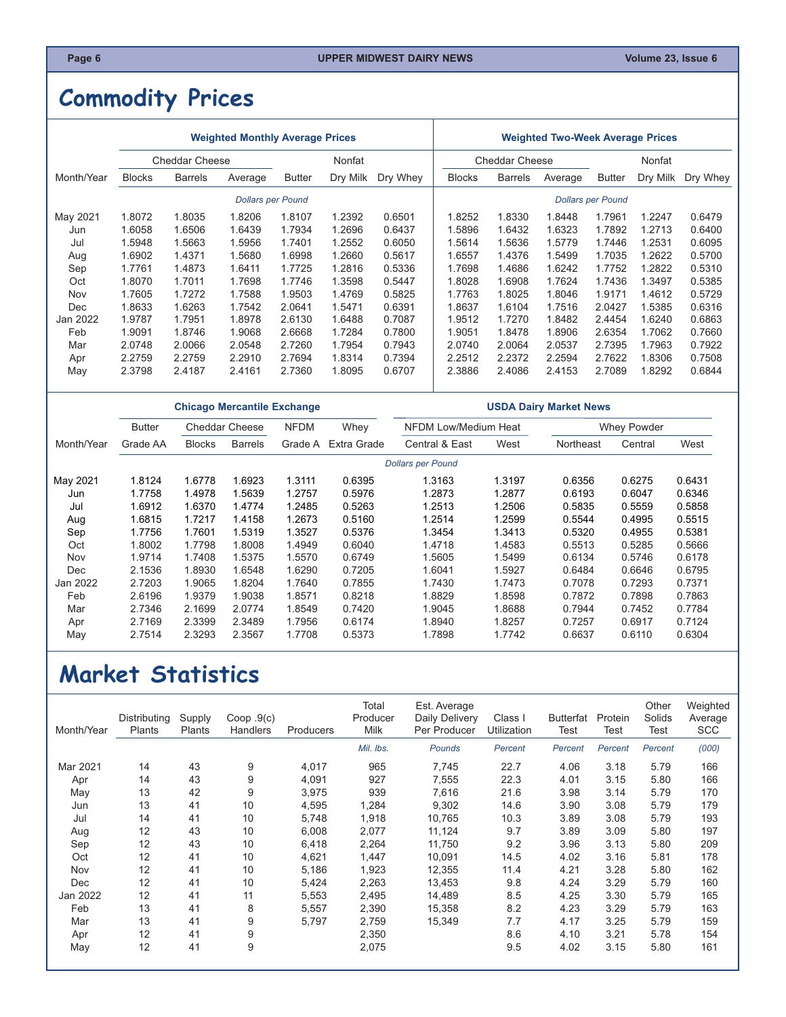## <span id="page-5-0"></span>**Commodity Prices**

|            |                                 |                | <b>Weighted Monthly Average Prices</b> |               |          |          | <b>Weighted Two-Week Average Prices</b> |                |                          |               |          |          |
|------------|---------------------------------|----------------|----------------------------------------|---------------|----------|----------|-----------------------------------------|----------------|--------------------------|---------------|----------|----------|
|            | <b>Cheddar Cheese</b><br>Nonfat |                |                                        |               |          |          | <b>Cheddar Cheese</b>                   |                |                          | Nonfat        |          |          |
| Month/Year | <b>Blocks</b>                   | <b>Barrels</b> | Average                                | <b>Butter</b> | Dry Milk | Dry Whey | <b>Blocks</b>                           | <b>Barrels</b> | Average                  | <b>Butter</b> | Dry Milk | Dry Whey |
|            |                                 |                | <b>Dollars per Pound</b>               |               |          |          |                                         |                | <b>Dollars per Pound</b> |               |          |          |
| May 2021   | 1.8072                          | 1.8035         | 1.8206                                 | 1.8107        | 1.2392   | 0.6501   | 1.8252                                  | 1.8330         | 1.8448                   | 1.7961        | 1.2247   | 0.6479   |
| Jun        | 1.6058                          | 1.6506         | 1.6439                                 | 1.7934        | 1.2696   | 0.6437   | 1.5896                                  | 1.6432         | 1.6323                   | 1.7892        | 1.2713   | 0.6400   |
| Jul        | 1.5948                          | 1.5663         | 1.5956                                 | 1.7401        | 1.2552   | 0.6050   | 1.5614                                  | 1.5636         | 1.5779                   | 1.7446        | 1.2531   | 0.6095   |
| Aug        | 1.6902                          | 1.4371         | 1.5680                                 | 1.6998        | 1.2660   | 0.5617   | 1.6557                                  | 1.4376         | 1.5499                   | 1.7035        | 1.2622   | 0.5700   |
| Sep        | 1.7761                          | 1.4873         | 1.6411                                 | 1.7725        | 1.2816   | 0.5336   | 1.7698                                  | 1.4686         | 1.6242                   | 1.7752        | 1.2822   | 0.5310   |
| Oct        | 1.8070                          | 1.7011         | 1.7698                                 | 1.7746        | 1.3598   | 0.5447   | 1.8028                                  | 1.6908         | 1.7624                   | 1.7436        | 1.3497   | 0.5385   |
| Nov        | 1.7605                          | 1.7272         | 1.7588                                 | 1.9503        | 1.4769   | 0.5825   | 1.7763                                  | 1.8025         | 1.8046                   | 1.9171        | 1.4612   | 0.5729   |
| Dec        | 1.8633                          | 1.6263         | 1.7542                                 | 2.0641        | 1.5471   | 0.6391   | 1.8637                                  | 1.6104         | 1.7516                   | 2.0427        | 1.5385   | 0.6316   |
| Jan 2022   | 1.9787                          | 1.7951         | 1.8978                                 | 2.6130        | 1.6488   | 0.7087   | 1.9512                                  | 1.7270         | 1.8482                   | 2.4454        | 1.6240   | 0.6863   |
| Feb        | 1.9091                          | 1.8746         | 1.9068                                 | 2.6668        | 1.7284   | 0.7800   | 1.9051                                  | 1.8478         | 1.8906                   | 2.6354        | 1.7062   | 0.7660   |
| Mar        | 2.0748                          | 2.0066         | 2.0548                                 | 2.7260        | 1.7954   | 0.7943   | 2.0740                                  | 2.0064         | 2.0537                   | 2.7395        | 1.7963   | 0.7922   |
| Apr        | 2.2759                          | 2.2759         | 2.2910                                 | 2.7694        | 1.8314   | 0.7394   | 2.2512                                  | 2.2372         | 2.2594                   | 2.7622        | 1.8306   | 0.7508   |
| May        | 2.3798                          | 2.4187         | 2.4161                                 | 2.7360        | 1.8095   | 0.6707   | 2.3886                                  | 2.4086         | 2.4153                   | 2.7089        | 1.8292   | 0.6844   |

|            |               |                       |                | <b>Chicago Mercantile Exchange</b> |        | <b>USDA Dairy Market News</b> |        |           |             |        |  |
|------------|---------------|-----------------------|----------------|------------------------------------|--------|-------------------------------|--------|-----------|-------------|--------|--|
|            | <b>Butter</b> | <b>Cheddar Cheese</b> |                | <b>NFDM</b>                        | Whey   | NFDM Low/Medium Heat          |        |           | Whey Powder |        |  |
| Month/Year | Grade AA      | <b>Blocks</b>         | <b>Barrels</b> | Extra Grade<br>Grade A             |        | Central & East                | West   | Northeast | Central     | West   |  |
|            |               |                       |                |                                    |        | <b>Dollars per Pound</b>      |        |           |             |        |  |
| May 2021   | 1.8124        | 1.6778                | 1.6923         | 1.3111                             | 0.6395 | 1.3163                        | 1.3197 | 0.6356    | 0.6275      | 0.6431 |  |
| Jun        | 1.7758        | 1.4978                | 1.5639         | 1.2757                             | 0.5976 | 1.2873                        | 1.2877 | 0.6193    | 0.6047      | 0.6346 |  |
| Jul        | 1.6912        | 1.6370                | 1.4774         | 1.2485                             | 0.5263 | 1.2513                        | 1.2506 | 0.5835    | 0.5559      | 0.5858 |  |
| Aug        | 1.6815        | 1.7217                | 1.4158         | 1.2673                             | 0.5160 | 1.2514                        | 1.2599 | 0.5544    | 0.4995      | 0.5515 |  |
| Sep        | 1.7756        | 1.7601                | 1.5319         | 1.3527                             | 0.5376 | 1.3454                        | 1.3413 | 0.5320    | 0.4955      | 0.5381 |  |
| Oct        | 1.8002        | 1.7798                | 1.8008         | 1.4949                             | 0.6040 | 1.4718                        | 1.4583 | 0.5513    | 0.5285      | 0.5666 |  |
| Nov        | 1.9714        | 1.7408                | 1.5375         | 1.5570                             | 0.6749 | 1.5605                        | 1.5499 | 0.6134    | 0.5746      | 0.6178 |  |
| Dec        | 2.1536        | 1.8930                | 1.6548         | 1.6290                             | 0.7205 | 1.6041                        | 1.5927 | 0.6484    | 0.6646      | 0.6795 |  |
| Jan 2022   | 2.7203        | 1.9065                | 1.8204         | 1.7640                             | 0.7855 | 1.7430                        | 1.7473 | 0.7078    | 0.7293      | 0.7371 |  |
| Feb        | 2.6196        | 1.9379                | 1.9038         | 1.8571                             | 0.8218 | 1.8829                        | 1.8598 | 0.7872    | 0.7898      | 0.7863 |  |
| Mar        | 2.7346        | 2.1699                | 2.0774         | 1.8549                             | 0.7420 | 1.9045                        | 1.8688 | 0.7944    | 0.7452      | 0.7784 |  |
| Apr        | 2.7169        | 2.3399                | 2.3489         | 1.7956                             | 0.6174 | 1.8940                        | 1.8257 | 0.7257    | 0.6917      | 0.7124 |  |
| May        | 2.7514        | 2.3293                | 2.3567         | 1.7708                             | 0.5373 | 1.7898                        | 1.7742 | 0.6637    | 0.6110      | 0.6304 |  |

### **Market Statistics**

| Month/Year | Distributing<br>Plants | Supply<br>Plants | Coop.9(c)<br>Handlers | Producers | Total<br>Producer<br><b>Milk</b> | Est. Average<br>Daily Delivery<br>Per Producer | Class I<br>Utilization | Butterfat<br>Test | Protein<br>Test | Other<br>Solids<br>Test | Weighted<br>Average<br><b>SCC</b> |
|------------|------------------------|------------------|-----------------------|-----------|----------------------------------|------------------------------------------------|------------------------|-------------------|-----------------|-------------------------|-----------------------------------|
|            |                        |                  |                       |           | Mil. Ibs.                        | Pounds                                         | Percent                | Percent           | Percent         | Percent                 | (000)                             |
| Mar 2021   | 14                     | 43               | 9                     | 4,017     | 965                              | 7,745                                          | 22.7                   | 4.06              | 3.18            | 5.79                    | 166                               |
| Apr        | 14                     | 43               | 9                     | 4,091     | 927                              | 7,555                                          | 22.3                   | 4.01              | 3.15            | 5.80                    | 166                               |
| May        | 13                     | 42               | 9                     | 3,975     | 939                              | 7,616                                          | 21.6                   | 3.98              | 3.14            | 5.79                    | 170                               |
| Jun        | 13                     | 41               | 10                    | 4,595     | 1,284                            | 9,302                                          | 14.6                   | 3.90              | 3.08            | 5.79                    | 179                               |
| Jul        | 14                     | 41               | 10                    | 5,748     | 1,918                            | 10,765                                         | 10.3                   | 3.89              | 3.08            | 5.79                    | 193                               |
| Aug        | 12                     | 43               | 10                    | 6,008     | 2,077                            | 11,124                                         | 9.7                    | 3.89              | 3.09            | 5.80                    | 197                               |
| Sep        | 12                     | 43               | 10                    | 6,418     | 2,264                            | 11,750                                         | 9.2                    | 3.96              | 3.13            | 5.80                    | 209                               |
| Oct        | 12                     | 41               | 10                    | 4,621     | 1,447                            | 10,091                                         | 14.5                   | 4.02              | 3.16            | 5.81                    | 178                               |
| Nov        | 12                     | 41               | 10                    | 5,186     | 1,923                            | 12,355                                         | 11.4                   | 4.21              | 3.28            | 5.80                    | 162                               |
| <b>Dec</b> | 12                     | 41               | 10                    | 5,424     | 2,263                            | 13.453                                         | 9.8                    | 4.24              | 3.29            | 5.79                    | 160                               |
| Jan 2022   | 12                     | 41               | 11                    | 5,553     | 2,495                            | 14,489                                         | 8.5                    | 4.25              | 3.30            | 5.79                    | 165                               |
| Feb        | 13                     | 41               | 8                     | 5,557     | 2,390                            | 15,358                                         | 8.2                    | 4.23              | 3.29            | 5.79                    | 163                               |
| Mar        | 13                     | 41               | 9                     | 5,797     | 2,759                            | 15,349                                         | 7.7                    | 4.17              | 3.25            | 5.79                    | 159                               |
| Apr        | 12                     | 41               | 9                     |           | 2,350                            |                                                | 8.6                    | 4.10              | 3.21            | 5.78                    | 154                               |
| May        | 12                     | 41               | 9                     |           | 2,075                            |                                                | 9.5                    | 4.02              | 3.15            | 5.80                    | 161                               |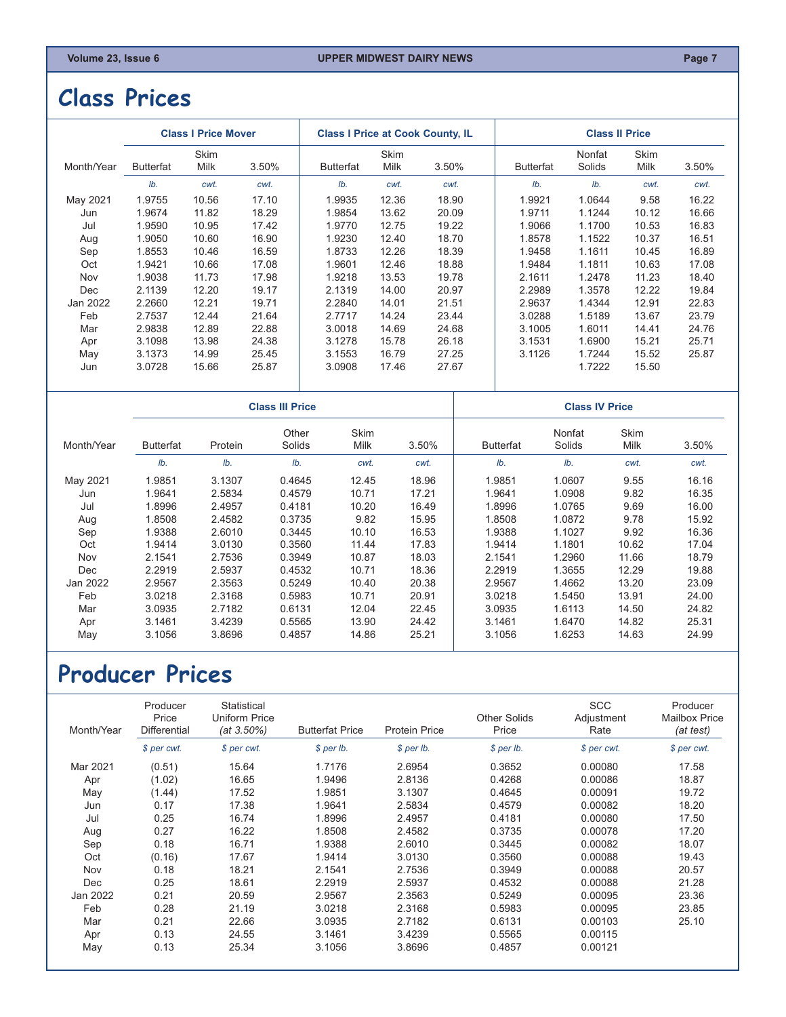#### <span id="page-6-0"></span>**Class Prices**

|            |                  | <b>Class I Price Mover</b> |                        | <b>Class I Price at Cook County, IL</b> |                     |       |                  |                       | <b>Class II Price</b>      |       |
|------------|------------------|----------------------------|------------------------|-----------------------------------------|---------------------|-------|------------------|-----------------------|----------------------------|-------|
| Month/Year | <b>Butterfat</b> | <b>Skim</b><br>Milk        | 3.50%                  | <b>Butterfat</b>                        | Skim<br><b>Milk</b> | 3.50% | <b>Butterfat</b> | Nonfat<br>Solids      | <b>Skim</b><br>Milk        | 3.50% |
|            | Ib.              | cwt.                       | cwt.                   | Ib.                                     | cwt.                | cwt.  | Ib.              | Ib.                   | cwt.                       | cwt.  |
| May 2021   | 1.9755           | 10.56                      | 17.10                  | 1.9935                                  | 12.36               | 18.90 | 1.9921           | 1.0644                | 9.58                       | 16.22 |
| Jun        | 1.9674           | 11.82                      | 18.29                  | 1.9854                                  | 13.62               | 20.09 | 1.9711           | 1.1244                | 10.12                      | 16.66 |
| Jul        | 1.9590           | 10.95                      | 17.42                  | 1.9770                                  | 12.75               | 19.22 | 1.9066           | 1.1700                | 10.53                      | 16.83 |
| Aug        | 1.9050           | 10.60                      | 16.90                  | 1.9230                                  | 12.40               | 18.70 | 1.8578           | 1.1522                | 10.37                      | 16.51 |
| Sep        | 1.8553           | 10.46                      | 16.59                  | 1.8733                                  | 12.26               | 18.39 | 1.9458           | 1.1611                | 10.45                      | 16.89 |
| Oct        | 1.9421           | 10.66                      | 17.08                  | 1.9601                                  | 12.46               | 18.88 | 1.9484           | 1.1811                | 10.63                      | 17.08 |
| Nov        | 1.9038           | 11.73                      | 17.98                  | 1.9218                                  | 13.53               | 19.78 | 2.1611           | 1.2478                | 11.23                      | 18.40 |
| Dec        | 2.1139           | 12.20                      | 19.17                  | 2.1319                                  | 14.00               | 20.97 | 2.2989           | 1.3578                | 12.22                      | 19.84 |
| Jan 2022   | 2.2660           | 12.21                      | 19.71                  | 2.2840                                  | 14.01               | 21.51 | 2.9637           | 1.4344                | 12.91                      | 22.83 |
| Feb        | 2.7537           | 12.44                      | 21.64                  | 2.7717                                  | 14.24               | 23.44 | 3.0288           | 1.5189                | 13.67                      | 23.79 |
| Mar        | 2.9838           | 12.89                      | 22.88                  | 3.0018                                  | 14.69               | 24.68 | 3.1005           | 1.6011                | 14.41                      | 24.76 |
| Apr        | 3.1098           | 13.98                      | 24.38                  | 3.1278                                  | 15.78               | 26.18 | 3.1531           | 1.6900                | 15.21                      | 25.71 |
| May        | 3.1373           | 14.99                      | 25.45                  | 3.1553                                  | 16.79               | 27.25 | 3.1126           | 1.7244                | 15.52                      | 25.87 |
| Jun        | 3.0728           | 15.66                      | 25.87                  | 3.0908                                  | 17.46               | 27.67 |                  | 1.7222                | 15.50                      |       |
|            |                  |                            | <b>Class III Price</b> |                                         |                     |       |                  | <b>Class IV Price</b> |                            |       |
| Month/Year | <b>Butterfat</b> | Protein                    | Other<br>Solids        | Skim<br><b>Milk</b>                     |                     | 3.50% | <b>Butterfat</b> | Nonfat<br>Solids      | <b>Skim</b><br><b>Milk</b> | 3.50% |
|            | Ib.              | Ib.                        | Ib.                    | cwt.                                    |                     | cwt.  | Ib.              | Ib.                   | cwt.                       | cwt.  |

 May 2021 1.9851 3.1307 0.4645 12.45 18.96 1.9851 1.0607 9.55 16.16 Jun 1.9641 2.5834 0.4579 10.71 17.21 1.9641 1.0908 9.82 16.35 Jul 1.8996 2.4957 0.4181 10.20 16.49 1.8996 1.0765 9.69 16.00 Aug 1.8508 2.4582 0.3735 9.82 15.95 1.8508 1.0872 9.78 15.92 Sep 1.9388 2.6010 0.3445 10.10 16.53 1.9388 1.1027 9.92 16.36 Oct 1.9414 3.0130 0.3560 11.44 17.83 | 1.9414 1.1801 10.62 17.04 | Nov 2.1541 2.7536 0.3949 10.87 18.03 2.1541 1.2960 11.66 18.79 Dec 2.2919 2.5937 0.4532 10.71 18.36 2.2919 1.3655 12.29 19.88 Jan 2022 2.9567 2.3563 0.5249 10.40 20.38 2.9567 1.4662 13.20 23.09 Feb 3.0218 2.3168 0.5983 10.71 20.91 3.0218 1.5450 13.91 24.00 Mar 3.0935 2.7182 0.6131 12.04 22.45 3.0935 1.6113 14.50 24.82 Apr 3.1461 3.4239 0.5565 13.90 24.42 3.1461 1.6470 14.82 25.31 May 3.1056 3.8696 0.4857 14.86 25.21 | 3.1056 1.6253 14.63 24.99

#### **Producer Prices**

| Month/Year | Producer<br>Price<br>Differential | Statistical<br>Uniform Price<br>$(at 3.50\%)$ | <b>Butterfat Price</b> | <b>Protein Price</b> | <b>Other Solids</b><br>Price | <b>SCC</b><br>Adjustment<br>Rate | Producer<br><b>Mailbox Price</b><br>(at test) |
|------------|-----------------------------------|-----------------------------------------------|------------------------|----------------------|------------------------------|----------------------------------|-----------------------------------------------|
|            | \$ per cwt.                       | \$ per cwt.                                   | $$$ per lb.            | $$$ per lb.          | $$$ per lb.                  | \$ per cwt.                      | \$ per cwt.                                   |
| Mar 2021   | (0.51)                            | 15.64                                         | 1.7176                 | 2.6954               | 0.3652                       | 0.00080                          | 17.58                                         |
| Apr        | (1.02)                            | 16.65                                         | 1.9496                 | 2.8136               | 0.4268                       | 0.00086                          | 18.87                                         |
| May        | (1.44)                            | 17.52                                         | 1.9851                 | 3.1307               | 0.4645                       | 0.00091                          | 19.72                                         |
| Jun        | 0.17                              | 17.38                                         | 1.9641                 | 2.5834               | 0.4579                       | 0.00082                          | 18.20                                         |
| Jul        | 0.25                              | 16.74                                         | 1.8996                 | 2.4957               | 0.4181                       | 0.00080                          | 17.50                                         |
| Aug        | 0.27                              | 16.22                                         | 1.8508                 | 2.4582               | 0.3735                       | 0.00078                          | 17.20                                         |
| Sep        | 0.18                              | 16.71                                         | 1.9388                 | 2.6010               | 0.3445                       | 0.00082                          | 18.07                                         |
| Oct        | (0.16)                            | 17.67                                         | 1.9414                 | 3.0130               | 0.3560                       | 0.00088                          | 19.43                                         |
| Nov        | 0.18                              | 18.21                                         | 2.1541                 | 2.7536               | 0.3949                       | 0.00088                          | 20.57                                         |
| Dec        | 0.25                              | 18.61                                         | 2.2919                 | 2.5937               | 0.4532                       | 0.00088                          | 21.28                                         |
| Jan 2022   | 0.21                              | 20.59                                         | 2.9567                 | 2.3563               | 0.5249                       | 0.00095                          | 23.36                                         |
| Feb        | 0.28                              | 21.19                                         | 3.0218                 | 2.3168               | 0.5983                       | 0.00095                          | 23.85                                         |
| Mar        | 0.21                              | 22.66                                         | 3.0935                 | 2.7182               | 0.6131                       | 0.00103                          | 25.10                                         |
| Apr        | 0.13                              | 24.55                                         | 3.1461                 | 3.4239               | 0.5565                       | 0.00115                          |                                               |
| May        | 0.13                              | 25.34                                         | 3.1056                 | 3.8696               | 0.4857                       | 0.00121                          |                                               |